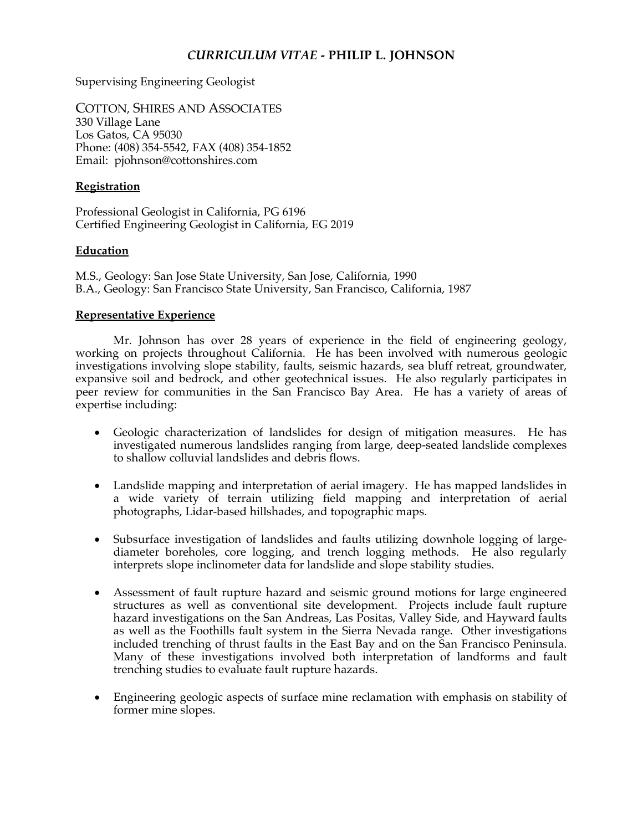# *CURRICULUM VITAE* **- PHILIP L. JOHNSON**

Supervising Engineering Geologist

COTTON, SHIRES AND ASSOCIATES 330 Village Lane Los Gatos, CA 95030 Phone: (408) 354-5542, FAX (408) 354-1852 Email: pjohnson@cottonshires.com

## **Registration**

Professional Geologist in California, PG 6196 Certified Engineering Geologist in California, EG 2019

## **Education**

M.S., Geology: San Jose State University, San Jose, California, 1990 B.A., Geology: San Francisco State University, San Francisco, California, 1987

## **Representative Experience**

Mr. Johnson has over 28 years of experience in the field of engineering geology, working on projects throughout California. He has been involved with numerous geologic investigations involving slope stability, faults, seismic hazards, sea bluff retreat, groundwater, expansive soil and bedrock, and other geotechnical issues. He also regularly participates in peer review for communities in the San Francisco Bay Area. He has a variety of areas of expertise including:

- Geologic characterization of landslides for design of mitigation measures. He has investigated numerous landslides ranging from large, deep-seated landslide complexes to shallow colluvial landslides and debris flows.
- Landslide mapping and interpretation of aerial imagery. He has mapped landslides in a wide variety of terrain utilizing field mapping and interpretation of aerial photographs, Lidar-based hillshades, and topographic maps.
- Subsurface investigation of landslides and faults utilizing downhole logging of largediameter boreholes, core logging, and trench logging methods. He also regularly interprets slope inclinometer data for landslide and slope stability studies.
- Assessment of fault rupture hazard and seismic ground motions for large engineered structures as well as conventional site development. Projects include fault rupture hazard investigations on the San Andreas, Las Positas, Valley Side, and Hayward faults as well as the Foothills fault system in the Sierra Nevada range. Other investigations included trenching of thrust faults in the East Bay and on the San Francisco Peninsula. Many of these investigations involved both interpretation of landforms and fault trenching studies to evaluate fault rupture hazards.
- Engineering geologic aspects of surface mine reclamation with emphasis on stability of former mine slopes.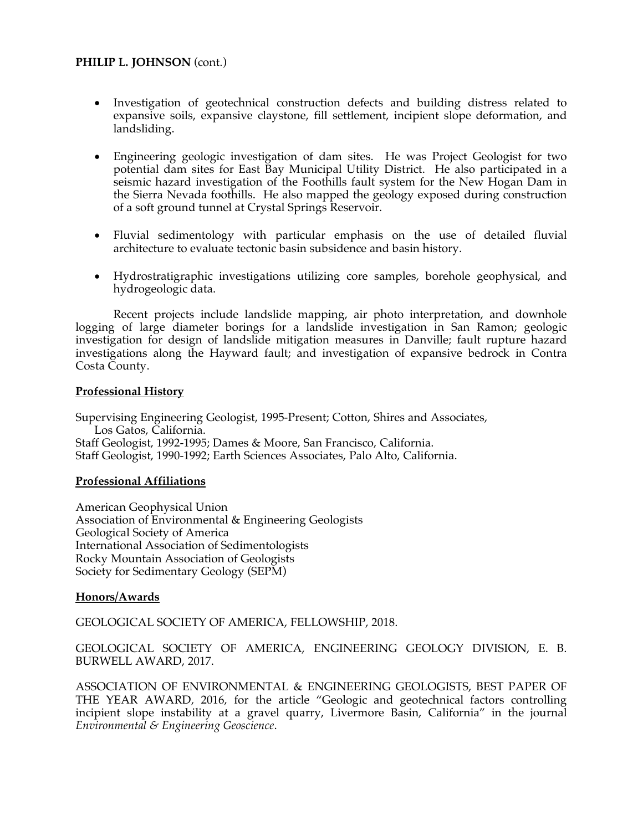## **PHILIP L. JOHNSON** (cont.)

- Investigation of geotechnical construction defects and building distress related to expansive soils, expansive claystone, fill settlement, incipient slope deformation, and landsliding.
- Engineering geologic investigation of dam sites. He was Project Geologist for two potential dam sites for East Bay Municipal Utility District. He also participated in a seismic hazard investigation of the Foothills fault system for the New Hogan Dam in the Sierra Nevada foothills. He also mapped the geology exposed during construction of a soft ground tunnel at Crystal Springs Reservoir.
- Fluvial sedimentology with particular emphasis on the use of detailed fluvial architecture to evaluate tectonic basin subsidence and basin history.
- Hydrostratigraphic investigations utilizing core samples, borehole geophysical, and hydrogeologic data.

Recent projects include landslide mapping, air photo interpretation, and downhole logging of large diameter borings for a landslide investigation in San Ramon; geologic investigation for design of landslide mitigation measures in Danville; fault rupture hazard investigations along the Hayward fault; and investigation of expansive bedrock in Contra Costa County.

#### **Professional History**

Supervising Engineering Geologist, 1995-Present; Cotton, Shires and Associates, Los Gatos, California. Staff Geologist, 1992-1995; Dames & Moore, San Francisco, California. Staff Geologist, 1990-1992; Earth Sciences Associates, Palo Alto, California.

#### **Professional Affiliations**

American Geophysical Union Association of Environmental & Engineering Geologists Geological Society of America International Association of Sedimentologists Rocky Mountain Association of Geologists Society for Sedimentary Geology (SEPM)

## **Honors/Awards**

GEOLOGICAL SOCIETY OF AMERICA, FELLOWSHIP, 2018.

GEOLOGICAL SOCIETY OF AMERICA, ENGINEERING GEOLOGY DIVISION, E. B. BURWELL AWARD, 2017.

ASSOCIATION OF ENVIRONMENTAL & ENGINEERING GEOLOGISTS, BEST PAPER OF THE YEAR AWARD, 2016, for the article "Geologic and geotechnical factors controlling incipient slope instability at a gravel quarry, Livermore Basin, California" in the journal *Environmental & Engineering Geoscience*.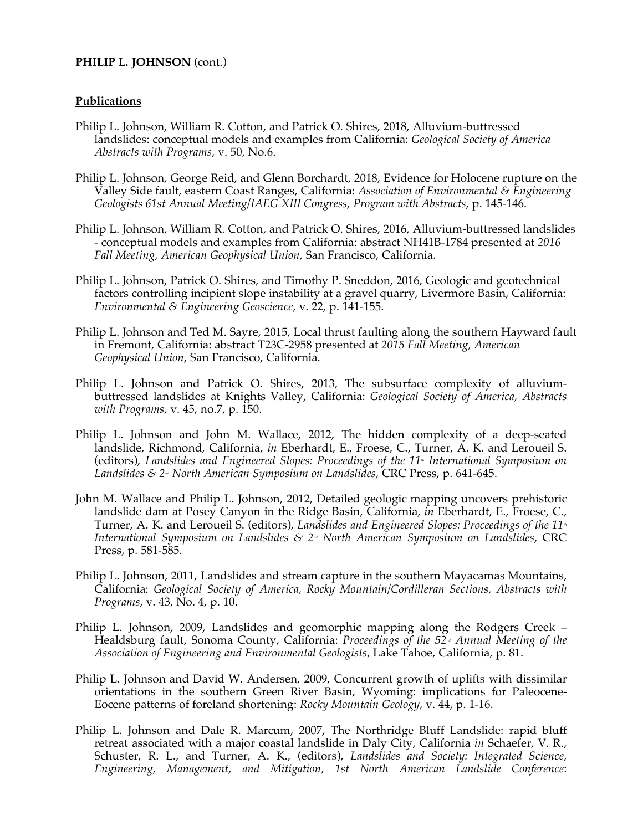## **Publications**

- Philip L. Johnson, William R. Cotton, and Patrick O. Shires, 2018, Alluvium-buttressed landslides: conceptual models and examples from California: *Geological Society of America Abstracts with Programs*, v. 50, No.6.
- Philip L. Johnson, George Reid, and Glenn Borchardt, 2018, Evidence for Holocene rupture on the Valley Side fault, eastern Coast Ranges, California: *Association of Environmental & Engineering Geologists 61st Annual Meeting/IAEG XIII Congress, Program with Abstracts*, p. 145-146.
- Philip L. Johnson, William R. Cotton, and Patrick O. Shires, 2016, Alluvium-buttressed landslides - conceptual models and examples from California: abstract NH41B-1784 presented at *2016 Fall Meeting, American Geophysical Union,* San Francisco, California.
- Philip L. Johnson, Patrick O. Shires, and Timothy P. Sneddon, 2016, Geologic and geotechnical factors controlling incipient slope instability at a gravel quarry, Livermore Basin, California: *Environmental & Engineering Geoscience*, v. 22, p. 141-155.
- Philip L. Johnson and Ted M. Sayre, 2015, Local thrust faulting along the southern Hayward fault in Fremont, California: abstract T23C-2958 presented at *2015 Fall Meeting, American Geophysical Union,* San Francisco, California.
- Philip L. Johnson and Patrick O. Shires, 2013, The subsurface complexity of alluviumbuttressed landslides at Knights Valley, California: *Geological Society of America, Abstracts with Programs*, v. 45, no.7, p. 150.
- Philip L. Johnson and John M. Wallace, 2012, The hidden complexity of a deep-seated landslide, Richmond, California, *in* Eberhardt, E., Froese, C., Turner, A. K. and Leroueil S. (editors), Landslides and Engineered Slopes: Proceedings of the 11<sup>\*</sup> International Symposium on *Landslides & 2<sup>™</sup> North American Symposium on Landslides*, CRC Press, p. 641-645.
- John M. Wallace and Philip L. Johnson, 2012, Detailed geologic mapping uncovers prehistoric landslide dam at Posey Canyon in the Ridge Basin, California, *in* Eberhardt, E., Froese, C., Turner, A. K. and Leroueil S. (editors), *Landslides and Engineered Slopes: Proceedings of the* 11<sup>\*</sup> *International Symposium on Landslides & 2<sup>nd</sup> North American Symposium on Landslides, CRC* Press, p. 581-585.
- Philip L. Johnson, 2011, Landslides and stream capture in the southern Mayacamas Mountains, California: *Geological Society of America, Rocky Mountain/Cordilleran Sections, Abstracts with Programs*, v. 43, No. 4, p. 10.
- Philip L. Johnson, 2009, Landslides and geomorphic mapping along the Rodgers Creek Healdsburg fault, Sonoma County, California: *Proceedings of the 52<sup>\*</sup> Annual Meeting of the Association of Engineering and Environmental Geologists*, Lake Tahoe, California, p. 81.
- Philip L. Johnson and David W. Andersen, 2009, Concurrent growth of uplifts with dissimilar orientations in the southern Green River Basin, Wyoming: implications for Paleocene-Eocene patterns of foreland shortening: *Rocky Mountain Geology*, v. 44, p. 1-16.
- Philip L. Johnson and Dale R. Marcum, 2007, The Northridge Bluff Landslide: rapid bluff retreat associated with a major coastal landslide in Daly City, California *in* Schaefer, V. R., Schuster, R. L., and Turner, A. K., (editors), *Landslides and Society: Integrated Science, Engineering, Management, and Mitigation, 1st North American Landslide Conference*: